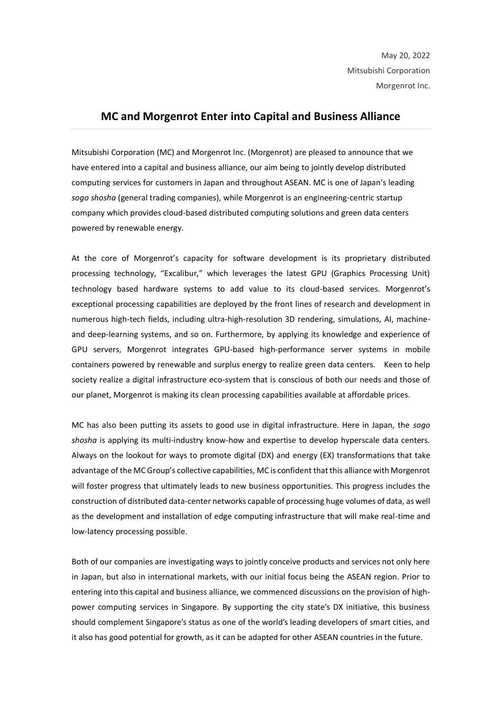## **MC and Morgenrot Enter into Capital and Business Alliance**

Mitsubishi Corporation (MC) and Morgenrot Inc. (Morgenrot) are pleased to announce that we have entered into a capital and business alliance, our aim being to jointly develop distributed computing services for customers in Japan and throughout ASEAN. MC is one of Japan's leading *sogo shosha* (general trading companies), while Morgenrot is an engineering-centric startup company which provides cloud-based distributed computing solutions and green data centers powered by renewable energy.

At the core of Morgenrot's capacity for software development is its proprietary distributed processing technology, "Excalibur," which leverages the latest GPU (Graphics Processing Unit) technology based hardware systems to add value to its cloud-based services. Morgenrot's exceptional processing capabilities are deployed by the front lines of research and development in numerous high-tech fields, including ultra-high-resolution 3D rendering, simulations, AI, machineand deep-learning systems, and so on. Furthermore, by applying its knowledge and experience of GPU servers, Morgenrot integrates GPU-based high-performance server systems in mobile containers powered by renewable and surplus energy to realize green data centers. Keen to help society realize a digital infrastructure eco-system that is conscious of both our needs and those of our planet, Morgenrot is making its clean processing capabilities available at affordable prices.

MC has also been putting its assets to good use in digital infrastructure. Here in Japan, the *sogo shosha* is applying its multi-industry know-how and expertise to develop hyperscale data centers. Always on the lookout for ways to promote digital (DX) and energy (EX) transformations that take advantage of the MC Group's collective capabilities, MC is confident that this alliance with Morgenrot will foster progress that ultimately leads to new business opportunities. This progress includes the construction of distributed data-center networks capable of processing huge volumes of data, as well as the development and installation of edge computing infrastructure that will make real-time and low-latency processing possible.

Both of our companies are investigating ways to jointly conceive products and services not only here in Japan, but also in international markets, with our initial focus being the ASEAN region. Prior to entering into this capital and business alliance, we commenced discussions on the provision of highpower computing services in Singapore. By supporting the city state's DX initiative, this business should complement Singapore's status as one of the world's leading developers of smart cities, and it also has good potential for growth, as it can be adapted for other ASEAN countries in the future.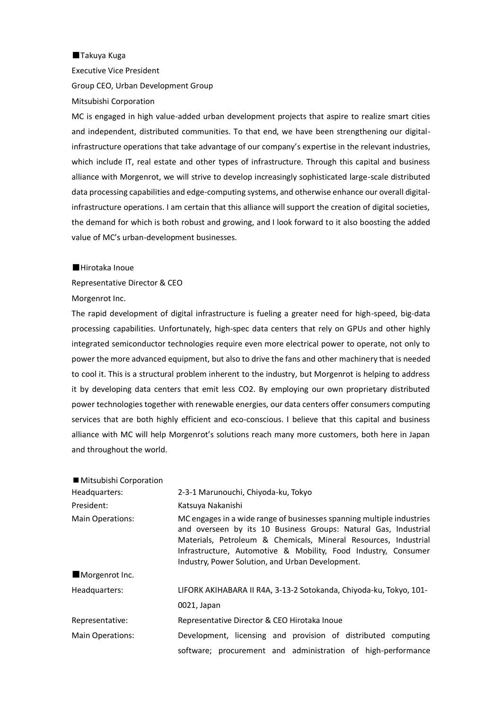■Takuya Kuga Executive Vice President Group CEO, Urban Development Group Mitsubishi Corporation

MC is engaged in high value-added urban development projects that aspire to realize smart cities and independent, distributed communities. To that end, we have been strengthening our digitalinfrastructure operations that take advantage of our company's expertise in the relevant industries, which include IT, real estate and other types of infrastructure. Through this capital and business alliance with Morgenrot, we will strive to develop increasingly sophisticated large-scale distributed data processing capabilities and edge-computing systems, and otherwise enhance our overall digitalinfrastructure operations. I am certain that this alliance will support the creation of digital societies, the demand for which is both robust and growing, and I look forward to it also boosting the added value of MC's urban-development businesses.

■Hirotaka Inoue

Representative Director & CEO Morgenrot Inc.

The rapid development of digital infrastructure is fueling a greater need for high-speed, big-data processing capabilities. Unfortunately, high-spec data centers that rely on GPUs and other highly integrated semiconductor technologies require even more electrical power to operate, not only to power the more advanced equipment, but also to drive the fans and other machinery that is needed to cool it. This is a structural problem inherent to the industry, but Morgenrot is helping to address it by developing data centers that emit less CO2. By employing our own proprietary distributed power technologies together with renewable energies, our data centers offer consumers computing services that are both highly efficient and eco-conscious. I believe that this capital and business alliance with MC will help Morgenrot's solutions reach many more customers, both here in Japan and throughout the world.

| ■ Mitsubishi Corporation |                                                                                                                                                                                                                                                                                                                                   |
|--------------------------|-----------------------------------------------------------------------------------------------------------------------------------------------------------------------------------------------------------------------------------------------------------------------------------------------------------------------------------|
| Headquarters:            | 2-3-1 Marunouchi, Chiyoda-ku, Tokyo                                                                                                                                                                                                                                                                                               |
| President:               | Katsuya Nakanishi                                                                                                                                                                                                                                                                                                                 |
| <b>Main Operations:</b>  | MC engages in a wide range of businesses spanning multiple industries<br>and overseen by its 10 Business Groups: Natural Gas, Industrial<br>Materials, Petroleum & Chemicals, Mineral Resources, Industrial<br>Infrastructure, Automotive & Mobility, Food Industry, Consumer<br>Industry, Power Solution, and Urban Development. |
| Morgenrot Inc.           |                                                                                                                                                                                                                                                                                                                                   |
| Headquarters:            | LIFORK AKIHABARA II R4A, 3-13-2 Sotokanda, Chiyoda-ku, Tokyo, 101-                                                                                                                                                                                                                                                                |
|                          | 0021, Japan                                                                                                                                                                                                                                                                                                                       |
| Representative:          | Representative Director & CEO Hirotaka Inoue                                                                                                                                                                                                                                                                                      |
| Main Operations:         | Development, licensing and provision of distributed computing                                                                                                                                                                                                                                                                     |
|                          | software; procurement and administration of high-performance                                                                                                                                                                                                                                                                      |